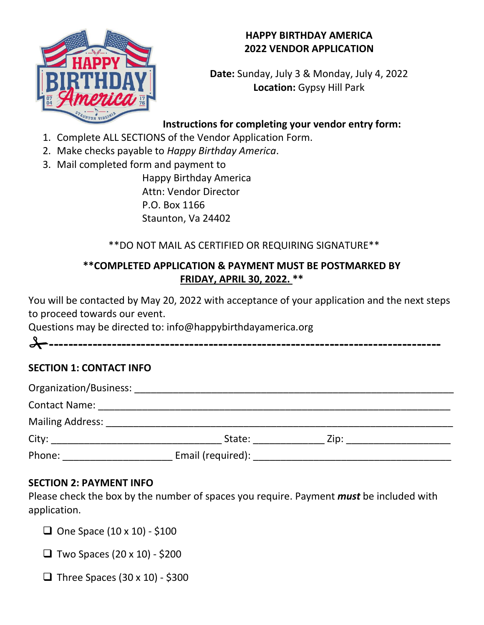#### **HAPPY BIRTHDAY AMERICA 2022 VENDOR APPLICATION**



**Date:** Sunday, July 3 & Monday, July 4, 2022 **Location:** Gypsy Hill Park

# **Instructions for completing your vendor entry form:**

- 1. Complete ALL SECTIONS of the Vendor Application Form.
- 2. Make checks payable to *Happy Birthday America*.
- 3. Mail completed form and payment to

Happy Birthday America Attn: Vendor Director P.O. Box 1166 Staunton, Va 24402

# \*\*DO NOT MAIL AS CERTIFIED OR REQUIRING SIGNATURE\*\*

### **\*\*COMPLETED APPLICATION & PAYMENT MUST BE POSTMARKED BY FRIDAY, APRIL 30, 2022. \*\***

You will be contacted by May 20, 2022 with acceptance of your application and the next steps to proceed towards our event.

Questions may be directed to: info@happybirthdayamerica.org

**---------------------------------------------------------------------------------**

# **SECTION 1: CONTACT INFO**

| <b>Contact Name:</b> The Contact Name: |                   |      |  |
|----------------------------------------|-------------------|------|--|
| <b>Mailing Address:</b>                |                   |      |  |
|                                        | State:            | Zip: |  |
| Phone:                                 | Email (required): |      |  |

#### **SECTION 2: PAYMENT INFO**

Please check the box by the number of spaces you require. Payment *must* be included with application.

 $\Box$  One Space (10 x 10) - \$100

 $\Box$  Two Spaces (20 x 10) - \$200

 $\Box$  Three Spaces (30 x 10) - \$300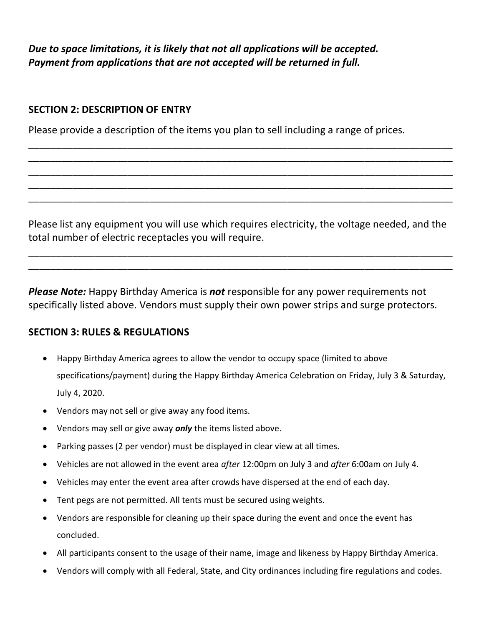*Due to space limitations, it is likely that not all applications will be accepted. Payment from applications that are not accepted will be returned in full.* 

#### **SECTION 2: DESCRIPTION OF ENTRY**

Please provide a description of the items you plan to sell including a range of prices.

Please list any equipment you will use which requires electricity, the voltage needed, and the total number of electric receptacles you will require.

\_\_\_\_\_\_\_\_\_\_\_\_\_\_\_\_\_\_\_\_\_\_\_\_\_\_\_\_\_\_\_\_\_\_\_\_\_\_\_\_\_\_\_\_\_\_\_\_\_\_\_\_\_\_\_\_\_\_\_\_\_\_\_\_\_\_\_\_\_\_\_\_\_\_\_\_\_ \_\_\_\_\_\_\_\_\_\_\_\_\_\_\_\_\_\_\_\_\_\_\_\_\_\_\_\_\_\_\_\_\_\_\_\_\_\_\_\_\_\_\_\_\_\_\_\_\_\_\_\_\_\_\_\_\_\_\_\_\_\_\_\_\_\_\_\_\_\_\_\_\_\_\_\_\_

\_\_\_\_\_\_\_\_\_\_\_\_\_\_\_\_\_\_\_\_\_\_\_\_\_\_\_\_\_\_\_\_\_\_\_\_\_\_\_\_\_\_\_\_\_\_\_\_\_\_\_\_\_\_\_\_\_\_\_\_\_\_\_\_\_\_\_\_\_\_\_\_\_\_\_\_\_ \_\_\_\_\_\_\_\_\_\_\_\_\_\_\_\_\_\_\_\_\_\_\_\_\_\_\_\_\_\_\_\_\_\_\_\_\_\_\_\_\_\_\_\_\_\_\_\_\_\_\_\_\_\_\_\_\_\_\_\_\_\_\_\_\_\_\_\_\_\_\_\_\_\_\_\_\_ \_\_\_\_\_\_\_\_\_\_\_\_\_\_\_\_\_\_\_\_\_\_\_\_\_\_\_\_\_\_\_\_\_\_\_\_\_\_\_\_\_\_\_\_\_\_\_\_\_\_\_\_\_\_\_\_\_\_\_\_\_\_\_\_\_\_\_\_\_\_\_\_\_\_\_\_\_ \_\_\_\_\_\_\_\_\_\_\_\_\_\_\_\_\_\_\_\_\_\_\_\_\_\_\_\_\_\_\_\_\_\_\_\_\_\_\_\_\_\_\_\_\_\_\_\_\_\_\_\_\_\_\_\_\_\_\_\_\_\_\_\_\_\_\_\_\_\_\_\_\_\_\_\_\_ \_\_\_\_\_\_\_\_\_\_\_\_\_\_\_\_\_\_\_\_\_\_\_\_\_\_\_\_\_\_\_\_\_\_\_\_\_\_\_\_\_\_\_\_\_\_\_\_\_\_\_\_\_\_\_\_\_\_\_\_\_\_\_\_\_\_\_\_\_\_\_\_\_\_\_\_\_

*Please Note:* Happy Birthday America is *not* responsible for any power requirements not specifically listed above. Vendors must supply their own power strips and surge protectors.

#### **SECTION 3: RULES & REGULATIONS**

- Happy Birthday America agrees to allow the vendor to occupy space (limited to above specifications/payment) during the Happy Birthday America Celebration on Friday, July 3 & Saturday, July 4, 2020.
- Vendors may not sell or give away any food items.
- Vendors may sell or give away *only* the items listed above.
- Parking passes (2 per vendor) must be displayed in clear view at all times.
- Vehicles are not allowed in the event area *after* 12:00pm on July 3 and *after* 6:00am on July 4.
- Vehicles may enter the event area after crowds have dispersed at the end of each day.
- Tent pegs are not permitted. All tents must be secured using weights.
- Vendors are responsible for cleaning up their space during the event and once the event has concluded.
- All participants consent to the usage of their name, image and likeness by Happy Birthday America.
- Vendors will comply with all Federal, State, and City ordinances including fire regulations and codes.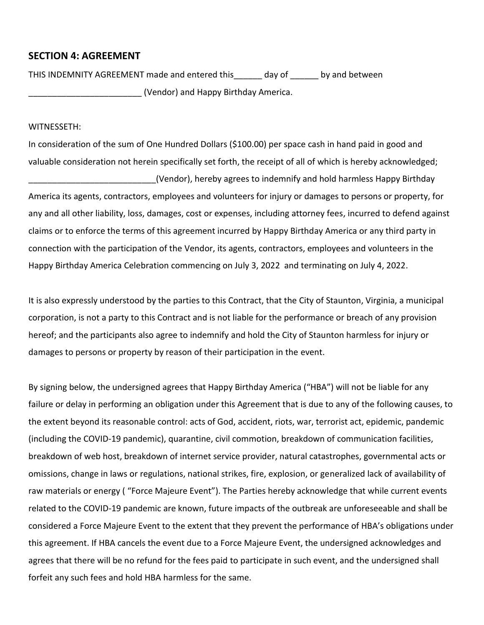#### **SECTION 4: AGREEMENT**

THIS INDEMNITY AGREEMENT made and entered this\_\_\_\_\_\_ day of \_\_\_\_\_\_ by and between \_\_\_\_\_\_\_\_\_\_\_\_\_\_\_\_\_\_\_\_\_\_\_\_ (Vendor) and Happy Birthday America.

#### WITNESSETH:

In consideration of the sum of One Hundred Dollars (\$100.00) per space cash in hand paid in good and valuable consideration not herein specifically set forth, the receipt of all of which is hereby acknowledged; \_\_\_\_\_\_\_\_\_\_\_\_\_\_\_\_\_\_\_\_\_\_\_\_\_\_\_(Vendor), hereby agrees to indemnify and hold harmless Happy Birthday America its agents, contractors, employees and volunteers for injury or damages to persons or property, for any and all other liability, loss, damages, cost or expenses, including attorney fees, incurred to defend against claims or to enforce the terms of this agreement incurred by Happy Birthday America or any third party in connection with the participation of the Vendor, its agents, contractors, employees and volunteers in the Happy Birthday America Celebration commencing on July 3, 2022 and terminating on July 4, 2022.

It is also expressly understood by the parties to this Contract, that the City of Staunton, Virginia, a municipal corporation, is not a party to this Contract and is not liable for the performance or breach of any provision hereof; and the participants also agree to indemnify and hold the City of Staunton harmless for injury or damages to persons or property by reason of their participation in the event.

By signing below, the undersigned agrees that Happy Birthday America ("HBA") will not be liable for any failure or delay in performing an obligation under this Agreement that is due to any of the following causes, to the extent beyond its reasonable control: acts of God, accident, riots, war, terrorist act, epidemic, pandemic (including the COVID-19 pandemic), quarantine, civil commotion, breakdown of communication facilities, breakdown of web host, breakdown of internet service provider, natural catastrophes, governmental acts or omissions, change in laws or regulations, national strikes, fire, explosion, or generalized lack of availability of raw materials or energy ( "Force Majeure Event"). The Parties hereby acknowledge that while current events related to the COVID-19 pandemic are known, future impacts of the outbreak are unforeseeable and shall be considered a Force Majeure Event to the extent that they prevent the performance of HBA's obligations under this agreement. If HBA cancels the event due to a Force Majeure Event, the undersigned acknowledges and agrees that there will be no refund for the fees paid to participate in such event, and the undersigned shall forfeit any such fees and hold HBA harmless for the same.